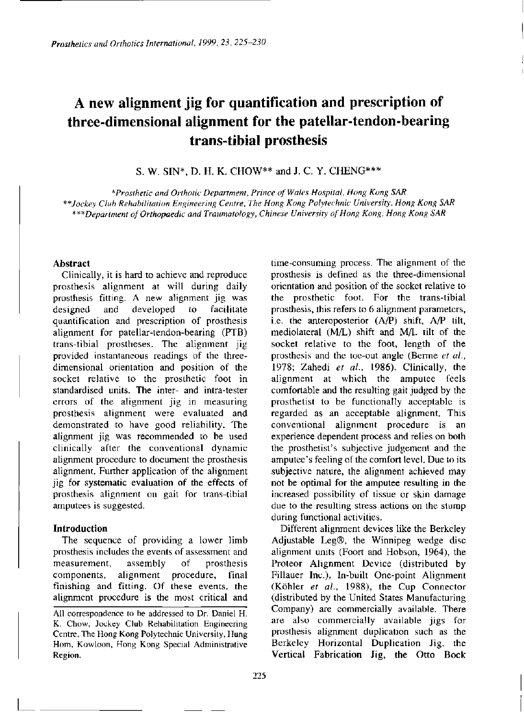# **A new alignment jig for quantification and prescription of three-dimensional alignment for the patellar-tendon-bearing trans-tibial prosthesis**

S. W. SIN\*, D. H. K. CHOW\*\* and J. C. Y. CHENG\*\*\*

*\*Prosthetic and Orthotic Department, Prince of Wales Hospital, Hong Kong SAR \*\*Jockey Club Rehabilitation Engineering Centre, The Hong Kong Polytechnic University, Hong Kong SAR \*\*\*Department of Orthopaedic and Traumatology, Chinese University of Hong Kong, Hong Kong SAR* 

#### **Abstract**

Clinically, it is hard to achieve and reproduce prosthesis alignment at will during daily prosthesis fitting. A new alignment jig was designed and developed to facilitate quantification and prescription of prosthesis alignment for patellar-tendon-bearing (PTB) trans-tibial prostheses. The alignment jig provided instantaneous readings of the threedimensional orientation and position of the socket relative to the prosthetic foot in standardised units. The inter- and intra-tester errors of the alignment jig in measuring prosthesis alignment were evaluated and demonstrated to have good reliability. The alignment jig was recommended to be used clinically after the conventional dynamic alignment procedure to document the prosthesis alignment. Further application of the alignment jig for systematic evaluation of the effects of prosthesis alignment on gait for trans-tibial amputees is suggested.

#### **Introduction**

The sequence of providing a lower limb prosthesis includes the events of assessment and measurement, assembly of prosthesis components, alignment procedure, final finishing and fitting. Of these events, the alignment procedure is the most critical and time-consuming process. The alignment of the prosthesis is defined as the three-dimensional orientation and position of the socket relative to the prosthetic foot. For the trans-tibial prosthesis, this refers to 6 alignment parameters, i.e. the anteroposterior (A/P) shift, A/P tilt, mediolateral (M/L) shift and M/L tilt of the socket relative to the foot, length of the prosthesis and the toe-out angle (Berme et al.*,*  1978; Zahedi *et al.,* 1986). Clinically, the alignment at which the amputee feels comfortable and the resulting gait judged by the prosthetist to be functionally acceptable is regarded as an acceptable alignment. This conventional alignment procedure is an experience dependent process and relies on both the prosthetist's subjective judgement and the amputee's feeling of the comfort level. Due to its subjective nature, the alignment achieved may not be optimal for the amputee resulting in the increased possibility of tissue or skin damage due to the resulting stress actions on the stump during functional activities.

Different alignment devices like the Berkeley Adjustable Leg®, the Winnipeg wedge disc alignment units (Foort and Hobson, 1964), the Proteor Alignment Device (distributed by Fillauer Inc), In-built One-point Alignment (Köhler *et al.,* 1988), the Cup Connector (distributed by the United States Manufacturing Company) are commercially available. There are also commercially available jigs for prosthesis alignment duplication such as the Berkeley Horizontal Duplication Jig, the Vertical Fabrication Jig, the Otto Bock

All correspondence to be addressed to Dr. Daniel H. K. Chow, Jockey Club Rehabilitation Engineering Centre, The Hong Kong Polytechnic University, Hung Hom, Kowloon, Hong Kong Special Administrative Region.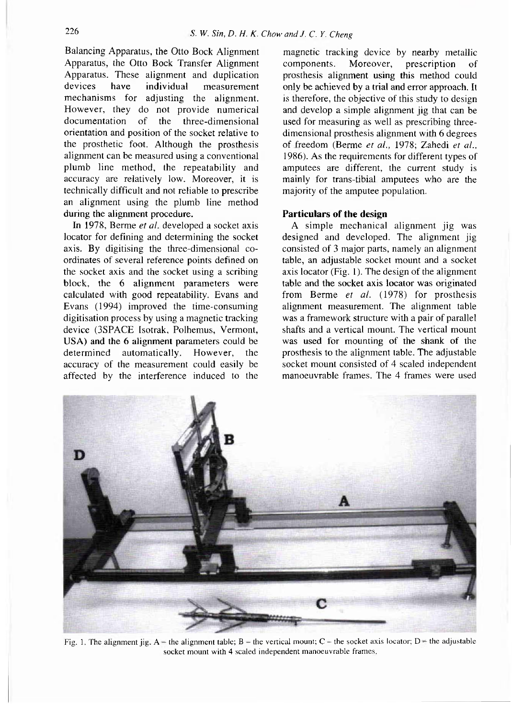Balancing Apparatus, the Otto Bock Alignment Apparatus, the Otto Bock Transfer Alignment Apparatus. These alignment and duplication devices have individual measurement mechanisms for adjusting the alignment. However, they do not provide numerical documentation of the three-dimensional orientation and position of the socket relative to the prosthetic foot. Although the prosthesis alignment can be measured using a conventional plumb line method, the repeatability and accuracy are relatively low. Moreover, it is technically difficult and not reliable to prescribe an alignment using the plumb line method during the alignment procedure.

In 1978, Berme *et al.* developed a socket axis locator for defining and determining the socket axis. By digitising the three-dimensional coordinates of several reference points defined on the socket axis and the socket using a scribing block, the 6 alignment parameters were calculated with good repeatability. Evans and Evans (1994) improved the time-consuming digitisation process by using a magnetic tracking device (3SPACE Isotrak, Polhemus, Vermont, USA) and the 6 alignment parameters could be determined automatically. However, the accuracy of the measurement could easily be affected by the interference induced to the

magnetic tracking device by nearby metallic components. Moreover, prescription of prosthesis alignment using this method could only be achieved by a trial and error approach. It is therefore, the objective of this study to design and develop a simple alignment jig that can be used for measuring as well as prescribing threedimensional prosthesis alignment with 6 degrees of freedom (Berme *et al.,* 1978; Zahedi *et al.,*  1986). As the requirements for different types of amputees are different, the current study is mainly for trans-tibial amputees who are the majority of the amputee population.

# **Particulars of the design**

A simple mechanical alignment jig was designed and developed. The alignment jig consisted of 3 major parts, namely an alignment table, an adjustable socket mount and a socket axis locator (Fig. 1). The design of the alignment table and the socket axis locator was originated from Berme *et al.* (1978) for prosthesis alignment measurement. The alignment table was a framework structure with a pair of parallel shafts and a vertical mount. The vertical mount was used for mounting of the shank of the prosthesis to the alignment table. The adjustable socket mount consisted of 4 scaled independent manoeuvrable frames. The 4 frames were used



Fig. 1. The alignment jig.  $A$  – the alignment table;  $B$  – the vertical mount;  $C$  – the socket axis locator;  $D$  – the adjustable socket mount with 4 scaled independent manoe*u*vrable frames.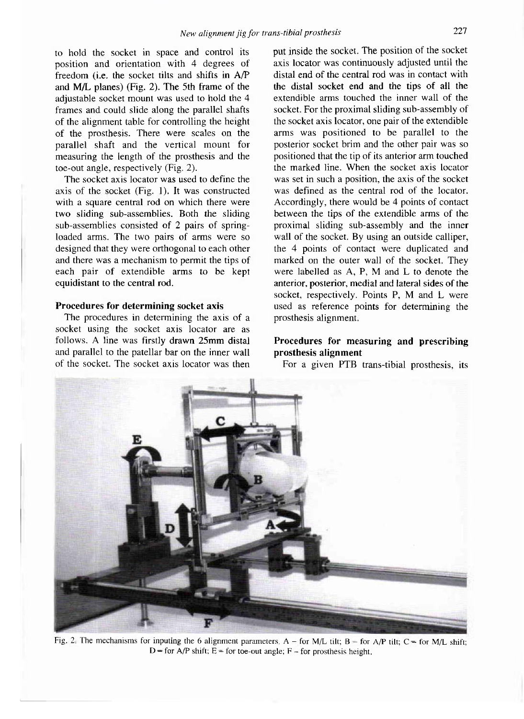to hold the socket in space and control its position and orientation with 4 degrees of freedom (i.e. the socket tilts and shifts in A/P and M/L planes) (Fig. 2). The 5th frame of the adjustable socket mount was used to hold the 4 frames and could slide along the parallel shafts of the alignment table for controlling the height of the prosthesis. There were scales on the parallel shaft and the vertical mount for measuring the length of the prosthesis and the toe-out angle, respectively (Fig. 2).

The socket axis locator was used to define the axis of the socket (Fig. 1). It was constructed with a square central rod on which there were two sliding sub-assemblies. Both the sliding sub-assemblies consisted of 2 pairs of springloaded arms. The two pairs of arms were so designed that they were orthogonal to each other and there was a mechanism to permit the tips of each pair of extendible arms to be kept equidistant to the central rod.

#### **Procedures for determining socket axis**

The procedures in determining the axis of a socket using the socket axis locator are as follows. A line was firstly drawn 25mm distal and parallel to the patellar bar on the inner wall of the socket. The socket axis locator was then

put inside the socket. The position of the socket axis locator was continuously adjusted until the distal end of the central rod was in contact with the distal socket end and the tips of all the extendible arms touched the inner wall of the socket. For the proximal sliding sub-assembly of the socket axis locator, one pair of the extendible arms was positioned to be parallel to the posterior socket brim and the other pair was so positioned that the tip of its anterior arm touched the marked line. When the socket axis locator was set in such a position, the axis of the socket was defined as the central rod of the locator. Accordingly, there would be 4 points of contact between the tips of the extendible arms of the proximal sliding sub-assembly and the inner wall of the socket. By using an outside calliper, the 4 points of contact were duplicated and marked on the outer wall of the socket. They were labelled as A, P, M and L to denote the anterior, posterior, medial and lateral sides of the socket, respectively. Points P, M and L were used as reference points for determining the prosthesis alignment.

# **Procedures for measuring and prescribing prosthesis alignment**

For a given PTB trans-tibial prosthesis, its



Fig. 2. The mechanisms for inputing the 6 alignment parameters. A – for M/L tilt; B – for A/P tilt; C – for M/L shift;  $D$  – for A/P shift;  $E$  – for toe-out angle;  $F$  – for prosthesis height.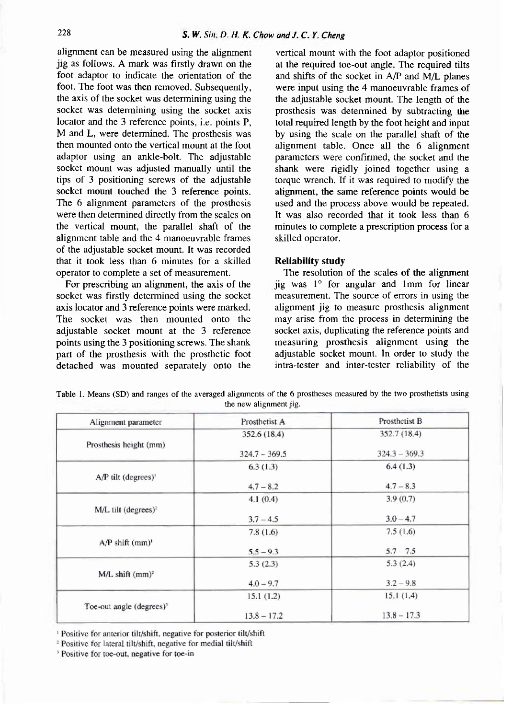alignment can be measured using the alignment jig as follows. A mark was firstly drawn on the foot adaptor to indicate the orientation of the foot. The foot was then removed. Subsequently, the axis of the socket was determining using the socket was determining using the socket axis locator and the 3 reference points, i.e. points P, M and L, were determined. The prosthesis was then mounted onto the vertical mount at the foot adaptor using an ankle-bolt. The adjustable socket mount was adjusted manually until the tips of 3 positioning screws of the adjustable socket mount touched the 3 reference points. The 6 alignment parameters of the prosthesis were then determined directly from the scales on the vertical mount, the parallel shaft of the alignment table and the 4 manoeuvrable frames of the adjustable socket mount. It was recorded that it took less than 6 minutes for a skilled operator to complete a set of measurement.

For prescribing an alignment, the axis of the socket was firstly determined using the socket axis locator and 3 reference points were marked. The socket was then mounted onto the adjustable socket mount at the 3 reference points using the 3 positioning screws. The shank part of the prosthesis with the prosthetic foot detached was mounted separately onto the

vertical mount with the foot adaptor positioned at the required toe-out angle. The required tilts and shifts of the socket in A/P and M/L planes were input using the 4 manoeuvrable frames of the adjustable socket mount. The length of the prosthesis was determined by subtracting the total required length by the foot height and input by using the scale on the parallel shaft of the alignment table. Once all the 6 alignment parameters were confirmed, the socket and the shank were rigidly joined together using a torque wrench. If it was required to modify the alignment, the same reference points would be used and the process above would be repeated. It was also recorded that it took less than 6 minutes to complete a prescription process for a skilled operator.

## **Reliability study**

The resolution of the scales of the alignment jig was 1° for angular and 1mm for linear measurement. The source of errors in using the alignment jig to measure prosthesis alignment may arise from the process in determining the socket axis, duplicating the reference points and measuring prosthesis alignment using the adjustable socket mount. In order to study the intra-tester and inter-tester reliability of the

| Alignment parameter                  | Prosthetist A   | Prosthetist B   |
|--------------------------------------|-----------------|-----------------|
|                                      | 352.6(18.4)     | 352.7 (18.4)    |
| Prosthesis height (mm)               | $324.7 - 369.5$ | $324.3 - 369.3$ |
|                                      | 6.3(1.3)        | 6.4(1.3)        |
| $A/P$ tilt (degrees)'                | $4.7 - 8.2$     | $4.7 - 8.3$     |
|                                      | 4.1(0.4)        | 3.9(0.7)        |
| $M/L$ tilt (degrees) <sup>2</sup>    | $3.7 - 4.5$     | $3.0 - 4.7$     |
|                                      | 7.8(1.6)        | 7.5(1.6)        |
| $A/P$ shift (mm) <sup>1</sup>        | $5.5 - 9.3$     | $5.7 - 7.5$     |
|                                      | 5.3(2.3)        | 5.3(2.4)        |
| $M/L$ shift (mm) <sup>2</sup>        | $4.0 - 9.7$     | $3.2 - 9.8$     |
|                                      | 15.1(1.2)       | 15.1(1.4)       |
| Toe-out angle (degrees) <sup>3</sup> | $13.8 - 17.2$   | $13.8 - 17.3$   |

Table 1. Means (SD) and ranges of the averaged alignments of the 6 prostheses measured by the two prosthetists using the new alignment jig.

<sup>1</sup> Positive for anterior tilt/shift, negative for posterior tilt/shift

<sup>2</sup> Positive for lateral tilt/shift, negative for medial tilt/shift

<sup>3</sup> Positive for toe-out, negative for toe-in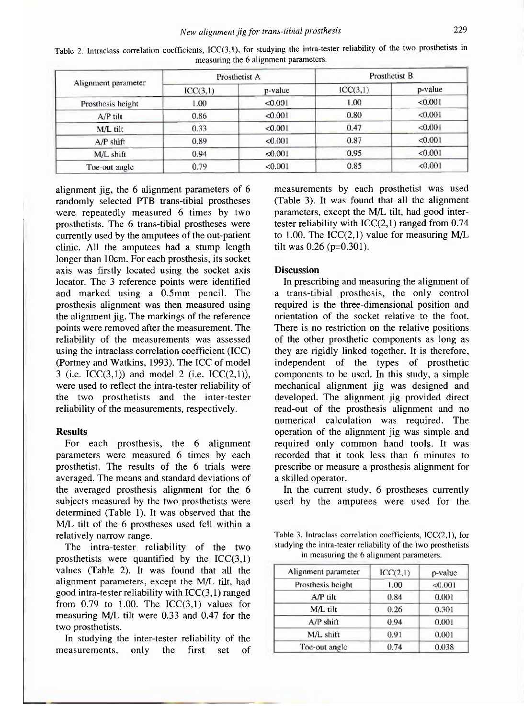|                     | Prosthetist A |         | Prosthetist B |         |
|---------------------|---------------|---------|---------------|---------|
| Alignment parameter | ICC(3,1)      | p-value | ICC(3,1)      | p-value |
| Prosthesis height   | 1.00          | < 0.001 | 1.00          | < 0.001 |
| $A/P$ tilt          | 0.86          | < 0.001 | 0.80          | < 0.001 |
| M/L tilt            | 0.33          | < 0.001 | 0.47          | < 0.001 |
| $A/P$ shift         | 0.89          | < 0.001 | 0.87          | < 0.001 |
| M/L shift           | 0.94          | < 0.001 | 0.95          | < 0.001 |
| Toe-out angle       | 0.79          | < 0.001 | 0.85          | < 0.001 |

Table 2. Intraclass correlation coefficients, ICC(3,1), for studying the intra-tester reliability of the two prosthetists in measuring the 6 alignment parameters.

alignment jig, the 6 alignment parameters of 6 randomly selected PTB trans-tibial prostheses were repeatedly measured 6 times by two prosthetists. The 6 trans-tibial prostheses were currently used by the amputees of the out-patient clinic All the amputees had a stump length longer than 10cm. For each prosthesis, its socket axis was firstly located using the socket axis locator. The 3 reference points were identified and marked using a 0.5mm pencil. The prosthesis alignment was then measured using the alignment jig. The markings of the reference points were removed after the measurement. The reliability of the measurements was assessed using the intraclass correlation coefficient (ICC) (Portney and Watkins, 1993). The ICC of model 3 (i.e.  $ICC(3,1))$  and model 2 (i.e.  $ICC(2,1)),$ were used to reflect the intra-tester reliability of the two prosthetists and the inter-tester reliability of the measurements, respectively.

#### **Results**

For each prosthesis, the 6 alignment parameters were measured 6 times by each prosthetist. The results of the 6 trials were averaged. The means and standard deviations of the averaged prosthesis alignment for the 6 subjects measured by the two prosthetists were determined (Table 1). It was observed that the M/L tilt of the 6 prostheses used fell within a relatively narrow range.

The intra-tester reliability of the two prosthetists were quantified by the  $ICC(3,1)$ values (Table 2). It was found that all the alignment parameters, except the M/L tilt, had good intra-tester reliability with  $ICC(3,1)$  ranged from  $0.79$  to  $1.00$ . The ICC $(3,1)$  values for measuring M/L tilt were 0.33 and 0.47 for the two prosthetists.

In studying the inter-tester reliability of the measurements, only the first set of measurements by each prosthetist was used (Table 3). It was found that all the alignment parameters, except the M/L tilt, had good intertester reliability with ICC(2,1) ranged from 0.74 to 1.00. The ICC(2,1) value for measuring M/L tilt was 0.26 (p=0.301).

# **Discussion**

In prescribing and measuring the alignment of a trans-tibial prosthesis, the only control required is the three-dimensional position and orientation of the socket relative to the foot. There is no restriction on the relative positions of the other prosthetic components as long as they are rigidly linked together. It is therefore, independent of the types of prosthetic components to be used. In this study, a simple mechanical alignment jig was designed and developed. The alignment jig provided direct read-out of the prosthesis alignment and no numerical calculation was required. The operation of the alignment jig was simple and required only common hand tools. It was recorded that it took less than 6 minutes to prescribe or measure a prosthesis alignment for a skilled operator.

In the current study, 6 prostheses currently used by the amputees were used for the

Table 3. Intraclass correlation coefficients, ICC(2,1), for studying the intra-tester reliability of the two prosthetists in measuring the 6 alignment parameters.

| Alignment parameter | ICC(2,1) | p-value |
|---------------------|----------|---------|
| Prosthesis height   | 1.00     | < 0.001 |
| A/P tilt            | 0.84     | 0.001   |
| M/L tilt            | 0.26     | 0.301   |
| A/P shift           | 0.94     | 0.001   |
| M/L shift           | 0.91     | 0.001   |
| Toe-out angle       | 0.74     | 0.038   |